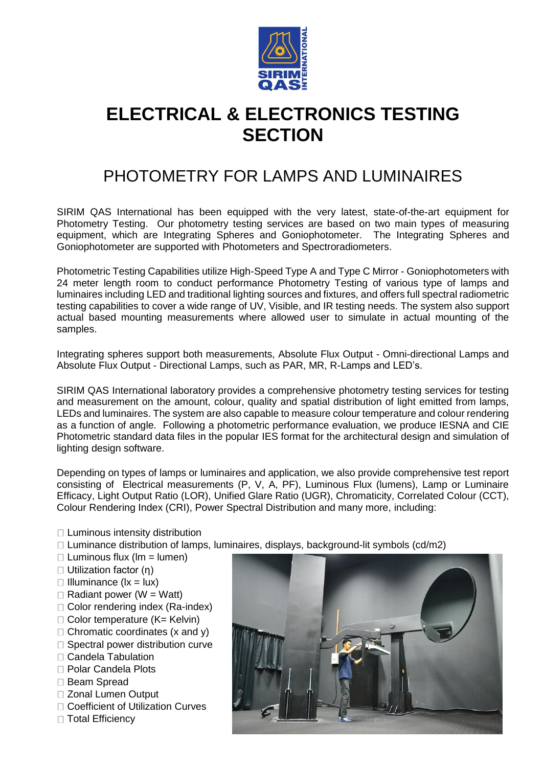

## **ELECTRICAL & ELECTRONICS TESTING SECTION**

## PHOTOMETRY FOR LAMPS AND LUMINAIRES

SIRIM QAS International has been equipped with the very latest, state-of-the-art equipment for Photometry Testing. Our photometry testing services are based on two main types of measuring equipment, which are Integrating Spheres and Goniophotometer. The Integrating Spheres and Goniophotometer are supported with Photometers and Spectroradiometers.

Photometric Testing Capabilities utilize High-Speed Type A and Type C Mirror - Goniophotometers with 24 meter length room to conduct performance Photometry Testing of various type of lamps and luminaires including LED and traditional lighting sources and fixtures, and offers full spectral radiometric testing capabilities to cover a wide range of UV, Visible, and IR testing needs. The system also support actual based mounting measurements where allowed user to simulate in actual mounting of the samples.

Integrating spheres support both measurements, Absolute Flux Output - Omni-directional Lamps and Absolute Flux Output - Directional Lamps, such as PAR, MR, R-Lamps and LED's.

SIRIM QAS International laboratory provides a comprehensive photometry testing services for testing and measurement on the amount, colour, quality and spatial distribution of light emitted from lamps, LEDs and luminaires. The system are also capable to measure colour temperature and colour rendering as a function of angle. Following a photometric performance evaluation, we produce IESNA and CIE Photometric standard data files in the popular IES format for the architectural design and simulation of lighting design software.

Depending on types of lamps or luminaires and application, we also provide comprehensive test report consisting of Electrical measurements (P, V, A, PF), Luminous Flux (lumens), Lamp or Luminaire Efficacy, Light Output Ratio (LOR), Unified Glare Ratio (UGR), Chromaticity, Correlated Colour (CCT), Colour Rendering Index (CRI), Power Spectral Distribution and many more, including:

- □ Luminous intensity distribution
- $\Box$  Luminance distribution of lamps, luminaires, displays, background-lit symbols (cd/m2)
- $\Box$  Luminous flux (lm = lumen)
- Utilization factor (η)
- $\Box$  Illuminance ( $\vert x = \vert ux$ )
- $\Box$  Radiant power (W = Watt)
- □ Color rendering index (Ra-index)
- $\Box$  Color temperature (K= Kelvin)
- $\Box$  Chromatic coordinates (x and y)
- □ Spectral power distribution curve
- □ Candela Tabulation
- □ Polar Candela Plots
- □ Beam Spread
- Zonal Lumen Output
- □ Coefficient of Utilization Curves
- □ Total Efficiency